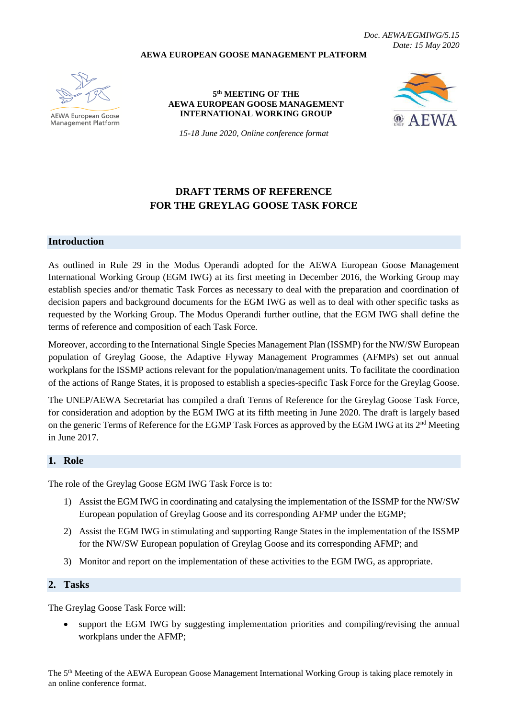**AEWA EUROPEAN GOOSE MANAGEMENT PLATFORM**

*Doc. AEWA/EGMIWG/5.15 Date: 15 May 2020*

**AEWA European Goose Management Platform** 

#### **5 th MEETING OF THE AEWA EUROPEAN GOOSE MANAGEMENT INTERNATIONAL WORKING GROUP**



*15-18 June 2020, Online conference format*

# **DRAFT TERMS OF REFERENCE FOR THE GREYLAG GOOSE TASK FORCE**

## **Introduction**

As outlined in Rule 29 in the Modus Operandi adopted for the AEWA European Goose Management International Working Group (EGM IWG) at its first meeting in December 2016, the Working Group may establish species and/or thematic Task Forces as necessary to deal with the preparation and coordination of decision papers and background documents for the EGM IWG as well as to deal with other specific tasks as requested by the Working Group. The Modus Operandi further outline, that the EGM IWG shall define the terms of reference and composition of each Task Force.

Moreover, according to the International Single Species Management Plan (ISSMP) for the NW/SW European population of Greylag Goose, the Adaptive Flyway Management Programmes (AFMPs) set out annual workplans for the ISSMP actions relevant for the population/management units. To facilitate the coordination of the actions of Range States, it is proposed to establish a species-specific Task Force for the Greylag Goose.

The UNEP/AEWA Secretariat has compiled a draft Terms of Reference for the Greylag Goose Task Force, for consideration and adoption by the EGM IWG at its fifth meeting in June 2020. The draft is largely based on the generic Terms of Reference for the EGMP Task Forces as approved by the EGM IWG at its  $2<sup>nd</sup>$  Meeting in June 2017.

#### **1. Role**

The role of the Greylag Goose EGM IWG Task Force is to:

- 1) Assist the EGM IWG in coordinating and catalysing the implementation of the ISSMP for the NW/SW European population of Greylag Goose and its corresponding AFMP under the EGMP;
- 2) Assist the EGM IWG in stimulating and supporting Range States in the implementation of the ISSMP for the NW/SW European population of Greylag Goose and its corresponding AFMP; and
- 3) Monitor and report on the implementation of these activities to the EGM IWG, as appropriate.

#### **2. Tasks**

The Greylag Goose Task Force will:

• support the EGM IWG by suggesting implementation priorities and compiling/revising the annual workplans under the AFMP;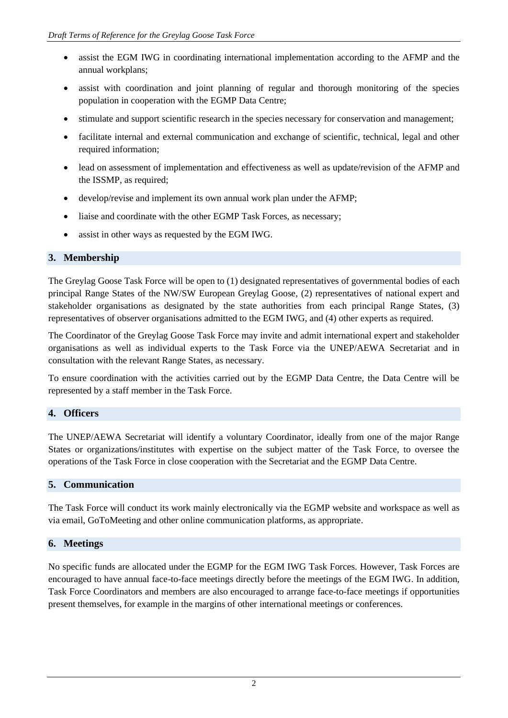- assist the EGM IWG in coordinating international implementation according to the AFMP and the annual workplans;
- assist with coordination and joint planning of regular and thorough monitoring of the species population in cooperation with the EGMP Data Centre;
- stimulate and support scientific research in the species necessary for conservation and management;
- facilitate internal and external communication and exchange of scientific, technical, legal and other required information;
- lead on assessment of implementation and effectiveness as well as update/revision of the AFMP and the ISSMP, as required;
- develop/revise and implement its own annual work plan under the AFMP;
- liaise and coordinate with the other EGMP Task Forces, as necessary;
- assist in other ways as requested by the EGM IWG.

#### **3. Membership**

The Greylag Goose Task Force will be open to (1) designated representatives of governmental bodies of each principal Range States of the NW/SW European Greylag Goose, (2) representatives of national expert and stakeholder organisations as designated by the state authorities from each principal Range States, (3) representatives of observer organisations admitted to the EGM IWG, and (4) other experts as required.

The Coordinator of the Greylag Goose Task Force may invite and admit international expert and stakeholder organisations as well as individual experts to the Task Force via the UNEP/AEWA Secretariat and in consultation with the relevant Range States, as necessary.

To ensure coordination with the activities carried out by the EGMP Data Centre, the Data Centre will be represented by a staff member in the Task Force.

## **4. Officers**

The UNEP/AEWA Secretariat will identify a voluntary Coordinator, ideally from one of the major Range States or organizations/institutes with expertise on the subject matter of the Task Force, to oversee the operations of the Task Force in close cooperation with the Secretariat and the EGMP Data Centre.

#### **5. Communication**

The Task Force will conduct its work mainly electronically via the EGMP website and workspace as well as via email, GoToMeeting and other online communication platforms, as appropriate.

#### **6. Meetings**

No specific funds are allocated under the EGMP for the EGM IWG Task Forces. However, Task Forces are encouraged to have annual face-to-face meetings directly before the meetings of the EGM IWG. In addition, Task Force Coordinators and members are also encouraged to arrange face-to-face meetings if opportunities present themselves, for example in the margins of other international meetings or conferences.